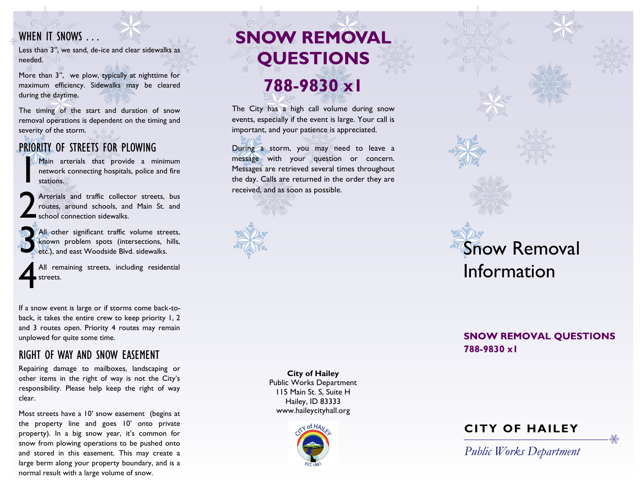#### WHEN IT SNOWS ...

Less than 3", we sand, de-ice and clear sidewalks as needed.

More than 3", we plow, typically at nighttime for maximum efficiency. Sidewalks may be cleared during the daytime.

The timing of the start and duration of snow removal operations is dependent on the timing and severity of the storm.

#### PRIORITY OF STREETS FOR PLOWING

 $\int_0^\infty$ Main arterials that provide a minimum network connecting hospitals, police and fire stations.

2 Arterials and traffic collector streets, bus routes, around schools, and Main St. and school connection sidewalks.

3 All other significant traffic volume streets, known problem spots (intersections, hills, etc.), and east Woodside Blvd. sidewalks.

4 All remaining streets, including residential streets.

If a snow event is large or if storms come back-toback, it takes the entire crew to keep priority 1, 2 and 3 routes open. Priority 4 routes may remain unplowed for quite some time.

#### RIGHT OF WAY AND SNOW EASEMENT

Repairing damage to mailboxes, landscaping or other items in the right of way is not the City's responsibility. Please help keep the right of way clear.

Most streets have a 10' snow easement (begins at the property line and goes 10' onto private property). In a big snow year, it's common for snow from plowing operations to be pushed onto and stored in this easement. This may create a large berm along your property boundary, and is a normal result with a large volume of snow.

# **SNOW REMOVAL QUESTIONS** 788-9830 xl

The City has a high call volume during snow events, especially if the event is large. Your call is important, and your patience is appreciated.

During a storm, you may need to leave a message with your question or concern. Messages are retrieved several times throughout the day. Calls are returned in the order they are received, and as soon as possible.





**SNOW REMOVAL QUESTIONS** 788-9830 xl

**City of Hailey** Public Works Department 115 Main St. S, Suite H Hailey, ID 83333 www.haileycityhall.org





*Public Works Department*